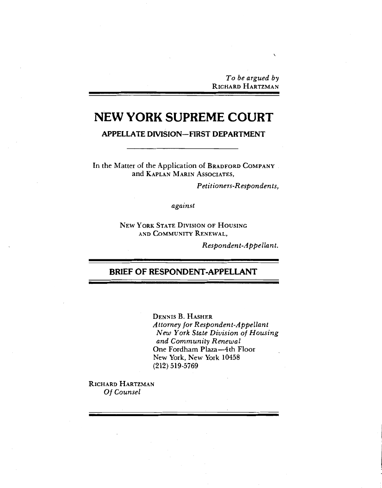To be argued by RICHARD HARTZMAN

# **NEW YORK SUPREME COURT**

**APPELLATE DIVISION-FIRST DEPARTMENT** 

In the Matter of the Application of BRADFORD COMPANY and KAPLAN MARIN ASSOCIATES,

Petitioners-Respondents,

against

**NEW YORK STATE DIVISION OF HOUSING** AND COMMUNITY RENEWAL,

Respondent-Appellant.

## **BRIEF OF RESPONDENT-APPELLANT**

**DENNIS B. HASHER** Attorney for Respondent-Appellant New York State Division of Housing and Community Renewal One Fordham Plaza-4th Floor New York, New York 10458  $(212) 519 - 5769$ 

RICHARD HARTZMAN Of Counsel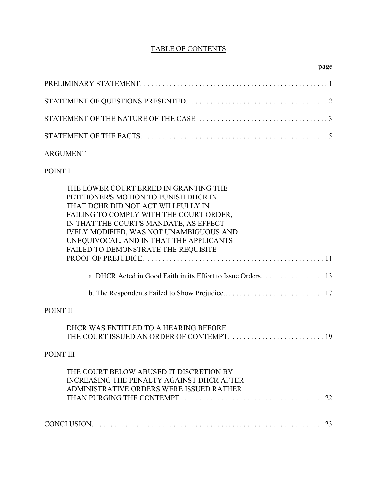## TABLE OF CONTENTS

## ARGUMENT

POINT I

| THE LOWER COURT ERRED IN GRANTING THE<br>PETITIONER'S MOTION TO PUNISH DHCR IN |
|--------------------------------------------------------------------------------|
| THAT DCHR DID NOT ACT WILLFULLY IN                                             |
| FAILING TO COMPLY WITH THE COURT ORDER,                                        |
| IN THAT THE COURT'S MANDATE, AS EFFECT-                                        |
| IVELY MODIFIED, WAS NOT UNAMBIGUOUS AND                                        |
| UNEQUIVOCAL, AND IN THAT THE APPLICANTS                                        |
| FAILED TO DEMONSTRATE THE REQUISITE                                            |
|                                                                                |
|                                                                                |
|                                                                                |
| POINT II                                                                       |
| DHCR WAS ENTITLED TO A HEARING BEFORE                                          |
| THE COURT ISSUED AN ORDER OF CONTEMPT.  19                                     |
| POINT III                                                                      |
| THE COURT BELOW ABUSED IT DISCRETION BY                                        |
| <b>INCREASING THE PENALTY AGAINST DHCR AFTER</b>                               |
| ADMINISTRATIVE ORDERS WERE ISSUED RATHER                                       |
|                                                                                |
|                                                                                |
|                                                                                |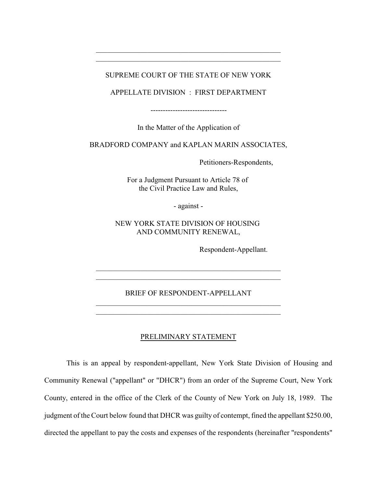## SUPREME COURT OF THE STATE OF NEW YORK

\_\_\_\_\_\_\_\_\_\_\_\_\_\_\_\_\_\_\_\_\_\_\_\_\_\_\_\_\_\_\_\_\_\_\_\_\_\_\_\_\_\_\_\_\_\_\_\_\_\_ \_\_\_\_\_\_\_\_\_\_\_\_\_\_\_\_\_\_\_\_\_\_\_\_\_\_\_\_\_\_\_\_\_\_\_\_\_\_\_\_\_\_\_\_\_\_\_\_\_\_

APPELLATE DIVISION : FIRST DEPARTMENT

-------------------------------

In the Matter of the Application of

BRADFORD COMPANY and KAPLAN MARIN ASSOCIATES,

Petitioners-Respondents,

For a Judgment Pursuant to Article 78 of the Civil Practice Law and Rules,

- against -

NEW YORK STATE DIVISION OF HOUSING AND COMMUNITY RENEWAL,

Respondent-Appellant.

### BRIEF OF RESPONDENT-APPELLANT

\_\_\_\_\_\_\_\_\_\_\_\_\_\_\_\_\_\_\_\_\_\_\_\_\_\_\_\_\_\_\_\_\_\_\_\_\_\_\_\_\_\_\_\_\_\_\_\_\_\_

\_\_\_\_\_\_\_\_\_\_\_\_\_\_\_\_\_\_\_\_\_\_\_\_\_\_\_\_\_\_\_\_\_\_\_\_\_\_\_\_\_\_\_\_\_\_\_\_\_\_ \_\_\_\_\_\_\_\_\_\_\_\_\_\_\_\_\_\_\_\_\_\_\_\_\_\_\_\_\_\_\_\_\_\_\_\_\_\_\_\_\_\_\_\_\_\_\_\_\_\_

## PRELIMINARY STATEMENT

This is an appeal by respondent-appellant, New York State Division of Housing and Community Renewal ("appellant" or "DHCR") from an order of the Supreme Court, New York County, entered in the office of the Clerk of the County of New York on July 18, 1989. The judgment of the Court below found that DHCR was guilty of contempt, fined the appellant \$250.00, directed the appellant to pay the costs and expenses of the respondents (hereinafter "respondents"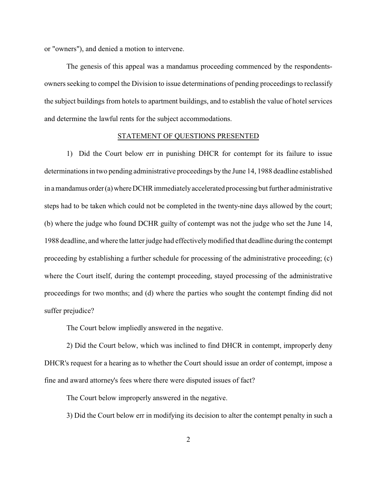or "owners"), and denied a motion to intervene.

The genesis of this appeal was a mandamus proceeding commenced by the respondentsowners seeking to compel the Division to issue determinations of pending proceedings to reclassify the subject buildings from hotels to apartment buildings, and to establish the value of hotel services and determine the lawful rents for the subject accommodations.

## STATEMENT OF QUESTIONS PRESENTED

1) Did the Court below err in punishing DHCR for contempt for its failure to issue determinations in two pending administrative proceedings by the June 14, 1988 deadline established in a mandamus order (a) where DCHR immediately accelerated processing but further administrative steps had to be taken which could not be completed in the twenty-nine days allowed by the court; (b) where the judge who found DCHR guilty of contempt was not the judge who set the June 14, 1988 deadline, and where the latter judge had effectivelymodified that deadline during the contempt proceeding by establishing a further schedule for processing of the administrative proceeding; (c) where the Court itself, during the contempt proceeding, stayed processing of the administrative proceedings for two months; and (d) where the parties who sought the contempt finding did not suffer prejudice?

The Court below impliedly answered in the negative.

2) Did the Court below, which was inclined to find DHCR in contempt, improperly deny DHCR's request for a hearing as to whether the Court should issue an order of contempt, impose a fine and award attorney's fees where there were disputed issues of fact?

The Court below improperly answered in the negative.

3) Did the Court below err in modifying its decision to alter the contempt penalty in such a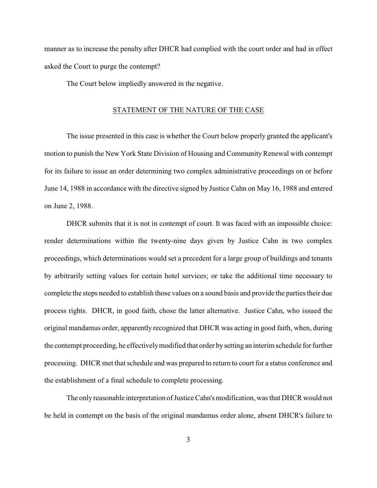manner as to increase the penalty after DHCR had complied with the court order and had in effect asked the Court to purge the contempt?

The Court below impliedly answered in the negative.

## STATEMENT OF THE NATURE OF THE CASE

The issue presented in this case is whether the Court below properly granted the applicant's motion to punish the New York State Division of Housing and Community Renewal with contempt for its failure to issue an order determining two complex administrative proceedings on or before June 14, 1988 in accordance with the directive signed by Justice Cahn on May 16, 1988 and entered on June 2, 1988.

DHCR submits that it is not in contempt of court. It was faced with an impossible choice: render determinations within the twenty-nine days given by Justice Cahn in two complex proceedings, which determinations would set a precedent for a large group of buildings and tenants by arbitrarily setting values for certain hotel services; or take the additional time necessary to complete the steps needed to establish those values on a sound basis and provide the parties their due process rights. DHCR, in good faith, chose the latter alternative. Justice Cahn, who issued the original mandamus order, apparently recognized that DHCR was acting in good faith, when, during the contempt proceeding, he effectivelymodified that order by setting an interim schedule for further processing. DHCR met that schedule and was prepared to return to court for a status conference and the establishment of a final schedule to complete processing.

The only reasonable interpretation of Justice Cahn's modification, was that DHCR would not be held in contempt on the basis of the original mandamus order alone, absent DHCR's failure to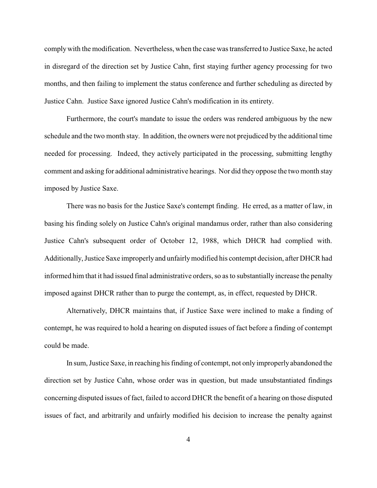complywith the modification. Nevertheless, when the case was transferred to Justice Saxe, he acted in disregard of the direction set by Justice Cahn, first staying further agency processing for two months, and then failing to implement the status conference and further scheduling as directed by Justice Cahn. Justice Saxe ignored Justice Cahn's modification in its entirety.

Furthermore, the court's mandate to issue the orders was rendered ambiguous by the new schedule and the two month stay. In addition, the owners were not prejudiced by the additional time needed for processing. Indeed, they actively participated in the processing, submitting lengthy comment and asking for additional administrative hearings. Nor did they oppose the two month stay imposed by Justice Saxe.

There was no basis for the Justice Saxe's contempt finding. He erred, as a matter of law, in basing his finding solely on Justice Cahn's original mandamus order, rather than also considering Justice Cahn's subsequent order of October 12, 1988, which DHCR had complied with. Additionally,Justice Saxe improperlyand unfairlymodified his contempt decision, after DHCR had informed him that it had issued final administrative orders, so as to substantially increase the penalty imposed against DHCR rather than to purge the contempt, as, in effect, requested by DHCR.

Alternatively, DHCR maintains that, if Justice Saxe were inclined to make a finding of contempt, he was required to hold a hearing on disputed issues of fact before a finding of contempt could be made.

In sum, Justice Saxe, in reaching his finding of contempt, not only improperly abandoned the direction set by Justice Cahn, whose order was in question, but made unsubstantiated findings concerning disputed issues of fact, failed to accord DHCR the benefit of a hearing on those disputed issues of fact, and arbitrarily and unfairly modified his decision to increase the penalty against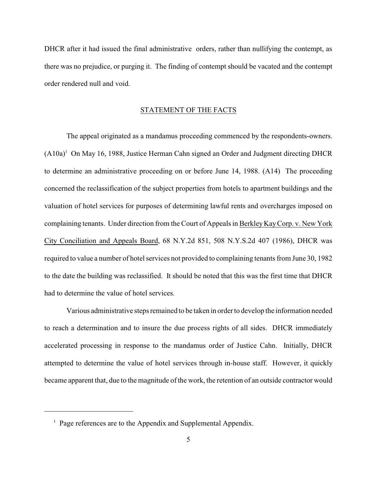DHCR after it had issued the final administrative orders, rather than nullifying the contempt, as there was no prejudice, or purging it. The finding of contempt should be vacated and the contempt order rendered null and void.

## STATEMENT OF THE FACTS

The appeal originated as a mandamus proceeding commenced by the respondents-owners. (A10a)<sup>1</sup> On May 16, 1988, Justice Herman Cahn signed an Order and Judgment directing DHCR to determine an administrative proceeding on or before June 14, 1988. (A14) The proceeding concerned the reclassification of the subject properties from hotels to apartment buildings and the valuation of hotel services for purposes of determining lawful rents and overcharges imposed on complaining tenants. Under direction from the Court of Appeals in Berkley Kay Corp. v. New York City Conciliation and Appeals Board, 68 N.Y.2d 851, 508 N.Y.S.2d 407 (1986), DHCR was required to value a number of hotel services not provided to complaining tenants from June 30, 1982 to the date the building was reclassified. It should be noted that this was the first time that DHCR had to determine the value of hotel services.

Various administrative steps remained to be taken in order to develop the information needed to reach a determination and to insure the due process rights of all sides. DHCR immediately accelerated processing in response to the mandamus order of Justice Cahn. Initially, DHCR attempted to determine the value of hotel services through in-house staff. However, it quickly became apparent that, due to the magnitude of the work, the retention of an outside contractor would

<sup>&</sup>lt;sup>1</sup> Page references are to the Appendix and Supplemental Appendix.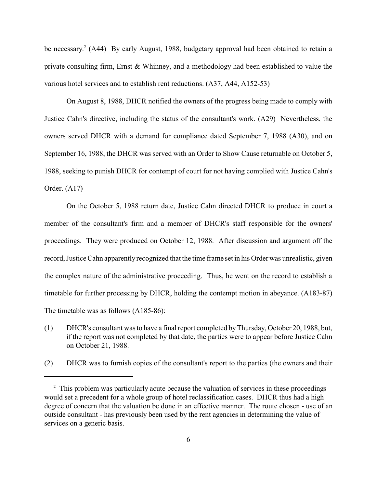be necessary.<sup>2</sup> (A44) By early August, 1988, budgetary approval had been obtained to retain a private consulting firm, Ernst & Whinney, and a methodology had been established to value the various hotel services and to establish rent reductions. (A37, A44, A152-53)

On August 8, 1988, DHCR notified the owners of the progress being made to comply with Justice Cahn's directive, including the status of the consultant's work. (A29) Nevertheless, the owners served DHCR with a demand for compliance dated September 7, 1988 (A30), and on September 16, 1988, the DHCR was served with an Order to Show Cause returnable on October 5, 1988, seeking to punish DHCR for contempt of court for not having complied with Justice Cahn's Order. (A17)

On the October 5, 1988 return date, Justice Cahn directed DHCR to produce in court a member of the consultant's firm and a member of DHCR's staff responsible for the owners' proceedings. They were produced on October 12, 1988. After discussion and argument off the record, Justice Cahn apparentlyrecognized that the time frame set in his Order was unrealistic, given the complex nature of the administrative proceeding. Thus, he went on the record to establish a timetable for further processing by DHCR, holding the contempt motion in abeyance. (A183-87) The timetable was as follows (A185-86):

- (1) DHCR's consultant was to have a final report completed byThursday, October 20, 1988, but, if the report was not completed by that date, the parties were to appear before Justice Cahn on October 21, 1988.
- (2) DHCR was to furnish copies of the consultant's report to the parties (the owners and their

<sup>&</sup>lt;sup>2</sup> This problem was particularly acute because the valuation of services in these proceedings would set a precedent for a whole group of hotel reclassification cases. DHCR thus had a high degree of concern that the valuation be done in an effective manner. The route chosen - use of an outside consultant - has previously been used by the rent agencies in determining the value of services on a generic basis.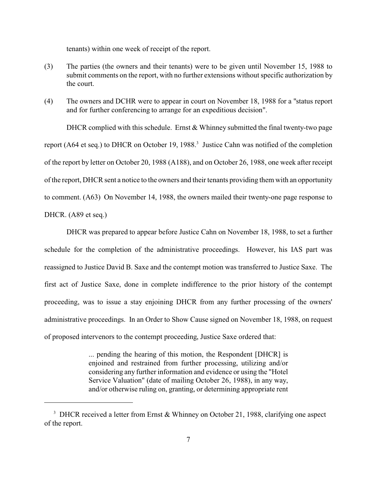tenants) within one week of receipt of the report.

- (3) The parties (the owners and their tenants) were to be given until November 15, 1988 to submit comments on the report, with no further extensions without specific authorization by the court.
- (4) The owners and DCHR were to appear in court on November 18, 1988 for a "status report and for further conferencing to arrange for an expeditious decision".

DHCR complied with this schedule. Ernst & Whinney submitted the final twenty-two page report (A64 et seq.) to DHCR on October 19, 1988.<sup>3</sup> Justice Cahn was notified of the completion of the report by letter on October 20, 1988 (A188), and on October 26, 1988, one week after receipt of the report, DHCR sent a notice to the owners and their tenants providing them with an opportunity to comment. (A63) On November 14, 1988, the owners mailed their twenty-one page response to DHCR. (A89 et seq.)

DHCR was prepared to appear before Justice Cahn on November 18, 1988, to set a further schedule for the completion of the administrative proceedings. However, his IAS part was reassigned to Justice David B. Saxe and the contempt motion was transferred to Justice Saxe. The first act of Justice Saxe, done in complete indifference to the prior history of the contempt proceeding, was to issue a stay enjoining DHCR from any further processing of the owners' administrative proceedings. In an Order to Show Cause signed on November 18, 1988, on request of proposed intervenors to the contempt proceeding, Justice Saxe ordered that:

> ... pending the hearing of this motion, the Respondent [DHCR] is enjoined and restrained from further processing, utilizing and/or considering any further information and evidence or using the "Hotel Service Valuation" (date of mailing October 26, 1988), in any way, and/or otherwise ruling on, granting, or determining appropriate rent

<sup>&</sup>lt;sup>3</sup> DHCR received a letter from Ernst & Whinney on October 21, 1988, clarifying one aspect of the report.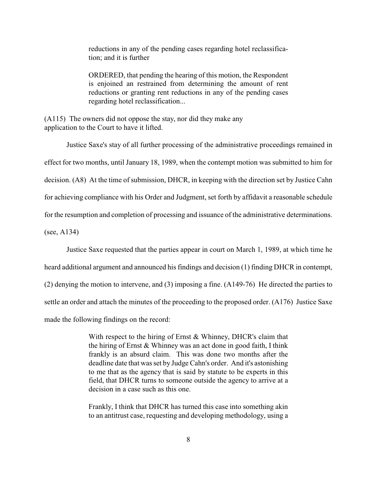reductions in any of the pending cases regarding hotel reclassification; and it is further

ORDERED, that pending the hearing of this motion, the Respondent is enjoined an restrained from determining the amount of rent reductions or granting rent reductions in any of the pending cases regarding hotel reclassification...

(A115) The owners did not oppose the stay, nor did they make any application to the Court to have it lifted.

Justice Saxe's stay of all further processing of the administrative proceedings remained in effect for two months, until January 18, 1989, when the contempt motion was submitted to him for decision. (A8) At the time of submission, DHCR, in keeping with the direction set by Justice Cahn for achieving compliance with his Order and Judgment, set forth by affidavit a reasonable schedule for the resumption and completion of processing and issuance of the administrative determinations.

(see, A134)

Justice Saxe requested that the parties appear in court on March 1, 1989, at which time he

heard additional argument and announced his findings and decision (1) finding DHCR in contempt,

(2) denying the motion to intervene, and (3) imposing a fine. (A149-76) He directed the parties to

settle an order and attach the minutes of the proceeding to the proposed order. (A176) Justice Saxe

made the following findings on the record:

With respect to the hiring of Ernst & Whinney, DHCR's claim that the hiring of Ernst & Whinney was an act done in good faith, I think frankly is an absurd claim. This was done two months after the deadline date that was set by Judge Cahn's order. And it's astonishing to me that as the agency that is said by statute to be experts in this field, that DHCR turns to someone outside the agency to arrive at a decision in a case such as this one.

Frankly, I think that DHCR has turned this case into something akin to an antitrust case, requesting and developing methodology, using a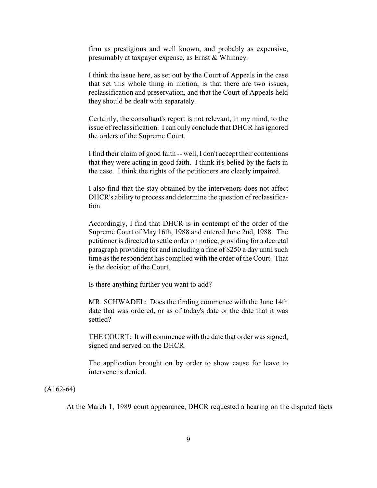firm as prestigious and well known, and probably as expensive, presumably at taxpayer expense, as Ernst & Whinney.

I think the issue here, as set out by the Court of Appeals in the case that set this whole thing in motion, is that there are two issues, reclassification and preservation, and that the Court of Appeals held they should be dealt with separately.

Certainly, the consultant's report is not relevant, in my mind, to the issue of reclassification. I can only conclude that DHCR has ignored the orders of the Supreme Court.

I find their claim of good faith -- well, I don't accept their contentions that they were acting in good faith. I think it's belied by the facts in the case. I think the rights of the petitioners are clearly impaired.

I also find that the stay obtained by the intervenors does not affect DHCR's ability to process and determine the question of reclassification.

Accordingly, I find that DHCR is in contempt of the order of the Supreme Court of May 16th, 1988 and entered June 2nd, 1988. The petitioner is directed to settle order on notice, providing for a decretal paragraph providing for and including a fine of \$250 a day until such time as the respondent has complied with the order of the Court. That is the decision of the Court.

Is there anything further you want to add?

MR. SCHWADEL: Does the finding commence with the June 14th date that was ordered, or as of today's date or the date that it was settled?

THE COURT: It will commence with the date that order was signed, signed and served on the DHCR.

The application brought on by order to show cause for leave to intervene is denied.

 $(A162-64)$ 

At the March 1, 1989 court appearance, DHCR requested a hearing on the disputed facts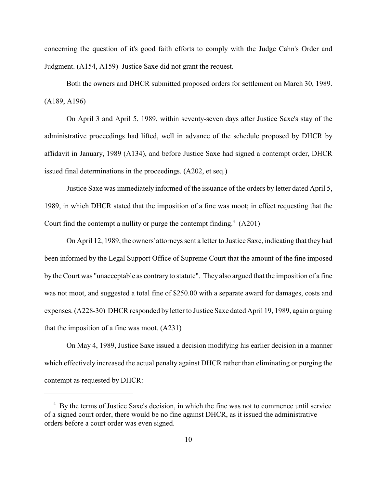concerning the question of it's good faith efforts to comply with the Judge Cahn's Order and Judgment. (A154, A159) Justice Saxe did not grant the request.

Both the owners and DHCR submitted proposed orders for settlement on March 30, 1989. (A189, A196)

On April 3 and April 5, 1989, within seventy-seven days after Justice Saxe's stay of the administrative proceedings had lifted, well in advance of the schedule proposed by DHCR by affidavit in January, 1989 (A134), and before Justice Saxe had signed a contempt order, DHCR issued final determinations in the proceedings. (A202, et seq.)

Justice Saxe was immediately informed of the issuance of the orders by letter dated April 5, 1989, in which DHCR stated that the imposition of a fine was moot; in effect requesting that the Court find the contempt a nullity or purge the contempt finding. $(4.201)$ 

On April 12, 1989, the owners' attorneys sent a letter to Justice Saxe, indicating that they had been informed by the Legal Support Office of Supreme Court that the amount of the fine imposed by the Court was "unacceptable as contrary to statute". They also argued that the imposition of a fine was not moot, and suggested a total fine of \$250.00 with a separate award for damages, costs and expenses. (A228-30) DHCR responded by letter to Justice Saxe dated April 19, 1989, again arguing that the imposition of a fine was moot. (A231)

On May 4, 1989, Justice Saxe issued a decision modifying his earlier decision in a manner which effectively increased the actual penalty against DHCR rather than eliminating or purging the contempt as requested by DHCR:

<sup>&</sup>lt;sup>4</sup> By the terms of Justice Saxe's decision, in which the fine was not to commence until service of a signed court order, there would be no fine against DHCR, as it issued the administrative orders before a court order was even signed.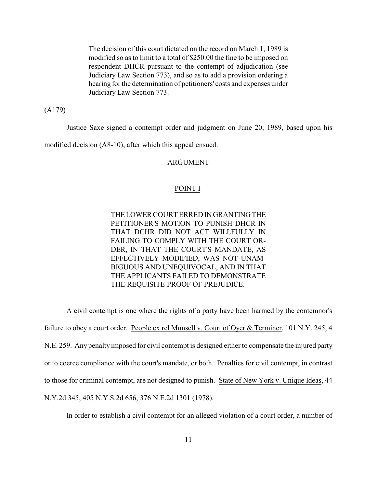The decision of this court dictated on the record on March 1, 1989 is modified so as to limit to a total of \$250.00 the fine to be imposed on respondent DHCR pursuant to the contempt of adjudication (see Judiciary Law Section 773), and so as to add a provision ordering a hearing for the determination of petitioners' costs and expenses under Judiciary Law Section 773.

(A179)

Justice Saxe signed a contempt order and judgment on June 20, 1989, based upon his

modified decision (A8-10), after which this appeal ensued.

## ARGUMENT

#### POINT I

THELOWERCOURT ERRED INGRANTINGTHE PETITIONER'S MOTION TO PUNISH DHCR IN THAT DCHR DID NOT ACT WILLFULLY IN FAILING TO COMPLY WITH THE COURT OR-DER, IN THAT THE COURT'S MANDATE, AS EFFECTIVELY MODIFIED, WAS NOT UNAM-BIGUOUS AND UNEQUIVOCAL, AND IN THAT THE APPLICANTS FAILED TO DEMONSTRATE THE REQUISITE PROOF OF PREJUDICE.

A civil contempt is one where the rights of a party have been harmed by the contemnor's failure to obey a court order. People ex rel Munsell v. Court of Oyer & Terminer, 101 N.Y. 245, 4 N.E. 259. Any penalty imposed for civil contempt is designed either to compensate the injured party or to coerce compliance with the court's mandate, or both. Penalties for civil contempt, in contrast to those for criminal contempt, are not designed to punish. State of New York v. Unique Ideas, 44 N.Y.2d 345, 405 N.Y.S.2d 656, 376 N.E.2d 1301 (1978).

In order to establish a civil contempt for an alleged violation of a court order, a number of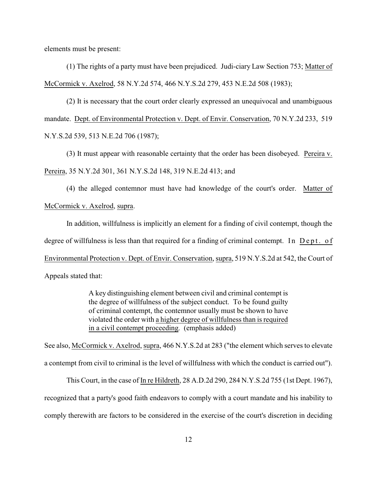elements must be present:

(1) The rights of a party must have been prejudiced. Judi-ciary Law Section 753; Matter of McCormick v. Axelrod, 58 N.Y.2d 574, 466 N.Y.S.2d 279, 453 N.E.2d 508 (1983);

(2) It is necessary that the court order clearly expressed an unequivocal and unambiguous mandate. Dept. of Environmental Protection v. Dept. of Envir. Conservation, 70 N.Y.2d 233, 519 N.Y.S.2d 539, 513 N.E.2d 706 (1987);

(3) It must appear with reasonable certainty that the order has been disobeyed. Pereira v. Pereira, 35 N.Y.2d 301, 361 N.Y.S.2d 148, 319 N.E.2d 413; and

(4) the alleged contemnor must have had knowledge of the court's order. Matter of McCormick v. Axelrod, supra.

In addition, willfulness is implicitly an element for a finding of civil contempt, though the degree of willfulness is less than that required for a finding of criminal contempt. In Dept. of Environmental Protection v. Dept. of Envir. Conservation, supra, 519 N.Y.S.2d at 542, the Court of Appeals stated that:

> A key distinguishing element between civil and criminal contempt is the degree of willfulness of the subject conduct. To be found guilty of criminal contempt, the contemnor usually must be shown to have violated the order with a higher degree of willfulness than is required in a civil contempt proceeding. (emphasis added)

See also, McCormick v. Axelrod, supra, 466 N.Y.S.2d at 283 ("the element which serves to elevate a contempt from civil to criminal is the level of willfulness with which the conduct is carried out").

This Court, in the case of In re Hildreth, 28 A.D.2d 290, 284 N.Y.S.2d 755 (1st Dept. 1967), recognized that a party's good faith endeavors to comply with a court mandate and his inability to comply therewith are factors to be considered in the exercise of the court's discretion in deciding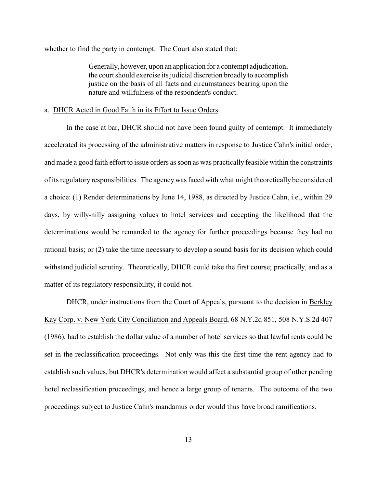whether to find the party in contempt. The Court also stated that:

Generally, however, upon an application for a contempt adjudication, the court should exercise its judicial discretion broadly to accomplish justice on the basis of all facts and circumstances bearing upon the nature and willfulness of the respondent's conduct.

## a. DHCR Acted in Good Faith in its Effort to Issue Orders.

In the case at bar, DHCR should not have been found guilty of contempt. It immediately accelerated its processing of the administrative matters in response to Justice Cahn's initial order, and made a good faith effort to issue orders as soon as was practically feasible within the constraints of its regulatory responsibilities. The agencywas faced with what might theoretically be considered a choice: (1) Render determinations by June 14, 1988, as directed by Justice Cahn, i.e., within 29 days, by willy-nilly assigning values to hotel services and accepting the likelihood that the determinations would be remanded to the agency for further proceedings because they had no rational basis; or (2) take the time necessary to develop a sound basis for its decision which could withstand judicial scrutiny. Theoretically, DHCR could take the first course; practically, and as a matter of its regulatory responsibility, it could not.

DHCR, under instructions from the Court of Appeals, pursuant to the decision in Berkley Kay Corp. v. New York City Conciliation and Appeals Board, 68 N.Y.2d 851, 508 N.Y.S.2d 407 (1986), had to establish the dollar value of a number of hotel services so that lawful rents could be set in the reclassification proceedings. Not only was this the first time the rent agency had to establish such values, but DHCR's determination would affect a substantial group of other pending hotel reclassification proceedings, and hence a large group of tenants. The outcome of the two proceedings subject to Justice Cahn's mandamus order would thus have broad ramifications.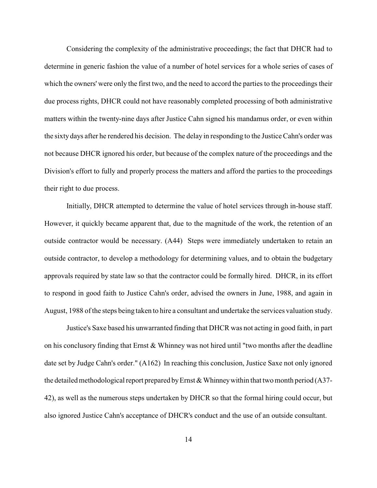Considering the complexity of the administrative proceedings; the fact that DHCR had to determine in generic fashion the value of a number of hotel services for a whole series of cases of which the owners' were only the first two, and the need to accord the parties to the proceedings their due process rights, DHCR could not have reasonably completed processing of both administrative matters within the twenty-nine days after Justice Cahn signed his mandamus order, or even within the sixty days after he rendered his decision. The delay in responding to the Justice Cahn's order was not because DHCR ignored his order, but because of the complex nature of the proceedings and the Division's effort to fully and properly process the matters and afford the parties to the proceedings their right to due process.

 Initially, DHCR attempted to determine the value of hotel services through in-house staff. However, it quickly became apparent that, due to the magnitude of the work, the retention of an outside contractor would be necessary. (A44) Steps were immediately undertaken to retain an outside contractor, to develop a methodology for determining values, and to obtain the budgetary approvals required by state law so that the contractor could be formally hired. DHCR, in its effort to respond in good faith to Justice Cahn's order, advised the owners in June, 1988, and again in August, 1988 of the steps being taken to hire a consultant and undertake the services valuation study.

Justice's Saxe based his unwarranted finding that DHCR was not acting in good faith, in part on his conclusory finding that Ernst & Whinney was not hired until "two months after the deadline date set by Judge Cahn's order." (A162) In reaching this conclusion, Justice Saxe not only ignored the detailed methodological report prepared by Ernst  $&Whinney$  within that two month period (A37-42), as well as the numerous steps undertaken by DHCR so that the formal hiring could occur, but also ignored Justice Cahn's acceptance of DHCR's conduct and the use of an outside consultant.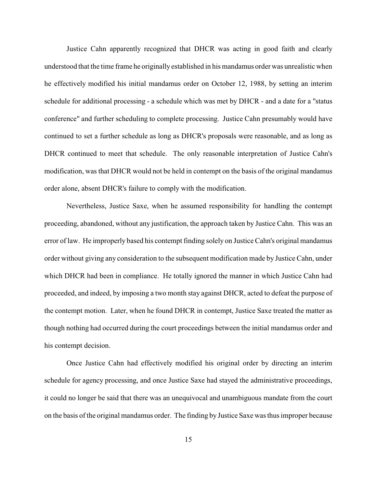Justice Cahn apparently recognized that DHCR was acting in good faith and clearly understood that the time frame he originally established in his mandamus order was unrealistic when he effectively modified his initial mandamus order on October 12, 1988, by setting an interim schedule for additional processing - a schedule which was met by DHCR - and a date for a "status conference" and further scheduling to complete processing. Justice Cahn presumably would have continued to set a further schedule as long as DHCR's proposals were reasonable, and as long as DHCR continued to meet that schedule. The only reasonable interpretation of Justice Cahn's modification, was that DHCR would not be held in contempt on the basis of the original mandamus order alone, absent DHCR's failure to comply with the modification.

Nevertheless, Justice Saxe, when he assumed responsibility for handling the contempt proceeding, abandoned, without any justification, the approach taken by Justice Cahn. This was an error of law. He improperly based his contempt finding solely on Justice Cahn's original mandamus order without giving any consideration to the subsequent modification made by Justice Cahn, under which DHCR had been in compliance. He totally ignored the manner in which Justice Cahn had proceeded, and indeed, by imposing a two month stay against DHCR, acted to defeat the purpose of the contempt motion. Later, when he found DHCR in contempt, Justice Saxe treated the matter as though nothing had occurred during the court proceedings between the initial mandamus order and his contempt decision.

Once Justice Cahn had effectively modified his original order by directing an interim schedule for agency processing, and once Justice Saxe had stayed the administrative proceedings, it could no longer be said that there was an unequivocal and unambiguous mandate from the court on the basis of the original mandamus order. The finding by Justice Saxe was thus improper because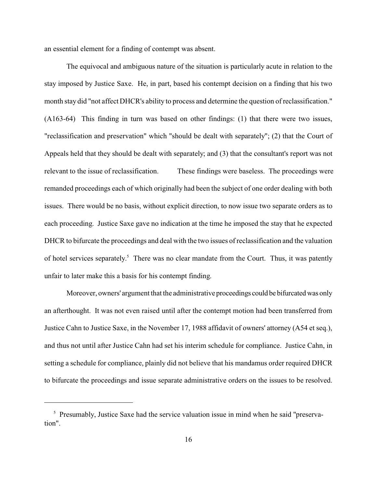an essential element for a finding of contempt was absent.

The equivocal and ambiguous nature of the situation is particularly acute in relation to the stay imposed by Justice Saxe. He, in part, based his contempt decision on a finding that his two month stay did "not affect DHCR's ability to process and determine the question of reclassification." (A163-64) This finding in turn was based on other findings: (1) that there were two issues, "reclassification and preservation" which "should be dealt with separately"; (2) that the Court of Appeals held that they should be dealt with separately; and (3) that the consultant's report was not relevant to the issue of reclassification. These findings were baseless. The proceedings were remanded proceedings each of which originally had been the subject of one order dealing with both issues. There would be no basis, without explicit direction, to now issue two separate orders as to each proceeding. Justice Saxe gave no indication at the time he imposed the stay that he expected DHCR to bifurcate the proceedings and deal with the two issues of reclassification and the valuation of hotel services separately.<sup>5</sup> There was no clear mandate from the Court. Thus, it was patently unfair to later make this a basis for his contempt finding.

Moreover, owners' argument that the administrative proceedings could be bifurcatedwas only an afterthought. It was not even raised until after the contempt motion had been transferred from Justice Cahn to Justice Saxe, in the November 17, 1988 affidavit of owners' attorney (A54 et seq.), and thus not until after Justice Cahn had set his interim schedule for compliance. Justice Cahn, in setting a schedule for compliance, plainly did not believe that his mandamus order required DHCR to bifurcate the proceedings and issue separate administrative orders on the issues to be resolved.

<sup>&</sup>lt;sup>5</sup> Presumably, Justice Saxe had the service valuation issue in mind when he said "preservation".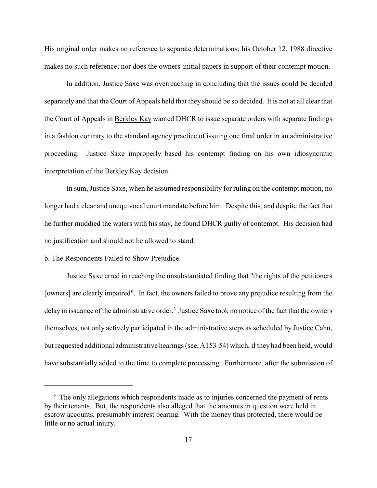His original order makes no reference to separate determinations; his October 12, 1988 directive makes no such reference; nor does the owners' initial papers in support of their contempt motion.

In addition, Justice Saxe was overreaching in concluding that the issues could be decided separately and that the Court of Appeals held that they should be so decided. It is not at all clear that the Court of Appeals in Berkley Kay wanted DHCR to issue separate orders with separate findings in a fashion contrary to the standard agency practice of issuing one final order in an administrative proceeding. Justice Saxe improperly based his contempt finding on his own idiosyncratic interpretation of the Berkley Kay decision.

In sum, Justice Saxe, when he assumed responsibility for ruling on the contempt motion, no longer had a clear and unequivocal court mandate before him. Despite this, and despite the fact that he further muddied the waters with his stay, he found DHCR guilty of contempt. His decision had no justification and should not be allowed to stand.

## b. The Respondents Failed to Show Prejudice.

Justice Saxe erred in reaching the unsubstantiated finding that "the rights of the petitioners [owners] are clearly impaired". In fact, the owners failed to prove any prejudice resulting from the delay in issuance of the administrative order.<sup>6</sup> Justice Saxe took no notice of the fact that the owners themselves, not only actively participated in the administrative steps as scheduled by Justice Cahn, but requested additional administrative hearings (see, A153-54) which, if they had been held, would have substantially added to the time to complete processing. Furthermore, after the submission of

<sup>&</sup>lt;sup>6</sup> The only allegations which respondents made as to injuries concerned the payment of rents by their tenants. But, the respondents also alleged that the amounts in question were held in escrow accounts, presumably interest bearing. With the money thus protected, there would be little or no actual injury.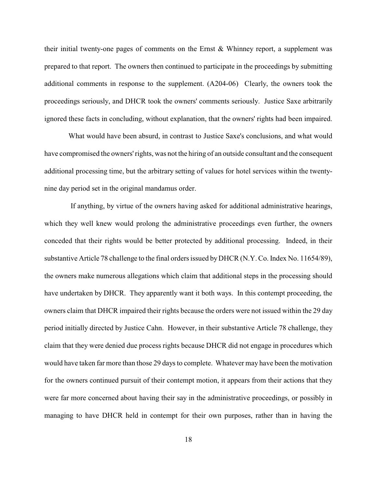their initial twenty-one pages of comments on the Ernst & Whinney report, a supplement was prepared to that report. The owners then continued to participate in the proceedings by submitting additional comments in response to the supplement. (A204-06) Clearly, the owners took the proceedings seriously, and DHCR took the owners' comments seriously. Justice Saxe arbitrarily ignored these facts in concluding, without explanation, that the owners' rights had been impaired.

What would have been absurd, in contrast to Justice Saxe's conclusions, and what would have compromised the owners' rights, was not the hiring of an outside consultant and the consequent additional processing time, but the arbitrary setting of values for hotel services within the twentynine day period set in the original mandamus order.

If anything, by virtue of the owners having asked for additional administrative hearings, which they well knew would prolong the administrative proceedings even further, the owners conceded that their rights would be better protected by additional processing. Indeed, in their substantive Article 78 challenge to the final orders issued byDHCR (N.Y. Co. Index No. 11654/89), the owners make numerous allegations which claim that additional steps in the processing should have undertaken by DHCR. They apparently want it both ways. In this contempt proceeding, the owners claim that DHCR impaired their rights because the orders were not issued within the 29 day period initially directed by Justice Cahn. However, in their substantive Article 78 challenge, they claim that they were denied due process rights because DHCR did not engage in procedures which would have taken far more than those 29 days to complete. Whatever may have been the motivation for the owners continued pursuit of their contempt motion, it appears from their actions that they were far more concerned about having their say in the administrative proceedings, or possibly in managing to have DHCR held in contempt for their own purposes, rather than in having the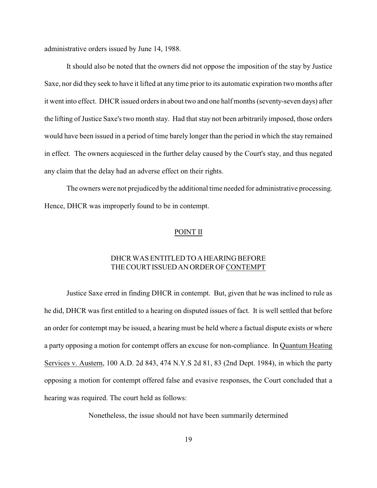administrative orders issued by June 14, 1988.

It should also be noted that the owners did not oppose the imposition of the stay by Justice Saxe, nor did they seek to have it lifted at any time prior to its automatic expiration two months after it went into effect. DHCR issued orders in about two and one half months (seventy-seven days) after the lifting of Justice Saxe's two month stay. Had that stay not been arbitrarily imposed, those orders would have been issued in a period of time barely longer than the period in which the stay remained in effect. The owners acquiesced in the further delay caused by the Court's stay, and thus negated any claim that the delay had an adverse effect on their rights.

The owners were not prejudiced by the additional time needed for administrative processing. Hence, DHCR was improperly found to be in contempt.

#### POINT II

## DHCR WAS ENTITLED TOAHEARING BEFORE THECOURTISSUEDANORDEROFCONTEMPT

Justice Saxe erred in finding DHCR in contempt. But, given that he was inclined to rule as he did, DHCR was first entitled to a hearing on disputed issues of fact. It is well settled that before an order for contempt may be issued, a hearing must be held where a factual dispute exists or where a party opposing a motion for contempt offers an excuse for non-compliance. In Quantum Heating Services v. Austern, 100 A.D. 2d 843, 474 N.Y.S 2d 81, 83 (2nd Dept. 1984), in which the party opposing a motion for contempt offered false and evasive responses, the Court concluded that a hearing was required. The court held as follows:

Nonetheless, the issue should not have been summarily determined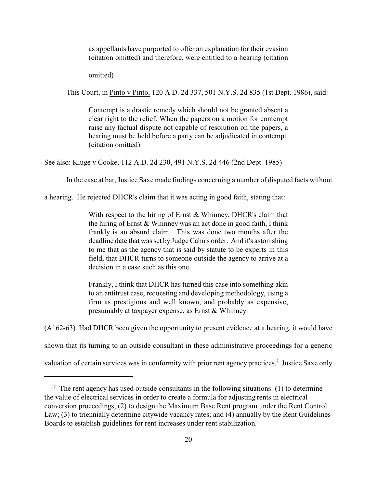as appellants have purported to offer an explanation for their evasion (citation omitted) and therefore, were entitled to a hearing (citation

omitted)

This Court, in Pinto v Pinto, 120 A.D. 2d 337, 501 N.Y.S. 2d 835 (1st Dept. 1986), said:

Contempt is a drastic remedy which should not be granted absent a clear right to the relief. When the papers on a motion for contempt raise any factual dispute not capable of resolution on the papers, a hearing must be held before a party can be adjudicated in contempt. (citation omitted)

See also: Kluge v Cooke, 112 A.D. 2d 230, 491 N.Y.S. 2d 446 (2nd Dept. 1985)

In the case at bar, Justice Saxe made findings concerning a number of disputed facts without

a hearing. He rejected DHCR's claim that it was acting in good faith, stating that:

With respect to the hiring of Ernst & Whinney, DHCR's claim that the hiring of Ernst & Whinney was an act done in good faith, I think frankly is an absurd claim. This was done two months after the deadline date that was set by Judge Cahn's order. And it's astonishing to me that as the agency that is said by statute to be experts in this field, that DHCR turns to someone outside the agency to arrive at a decision in a case such as this one.

Frankly, I think that DHCR has turned this case into something akin to an antitrust case, requesting and developing methodology, using a firm as prestigious and well known, and probably as expensive, presumably at taxpayer expense, as Ernst & Whinney.

(A162-63) Had DHCR been given the opportunity to present evidence at a hearing, it would have

shown that its turning to an outside consultant in these administrative proceedings for a generic

valuation of certain services was in conformity with prior rent agency practices.<sup>7</sup> Justice Saxe only

 $7$  The rent agency has used outside consultants in the following situations: (1) to determine the value of electrical services in order to create a formula for adjusting rents in electrical conversion proceedings; (2) to design the Maximum Base Rent program under the Rent Control Law; (3) to triennially determine citywide vacancy rates; and (4) annually by the Rent Guidelines Boards to establish guidelines for rent increases under rent stabilization.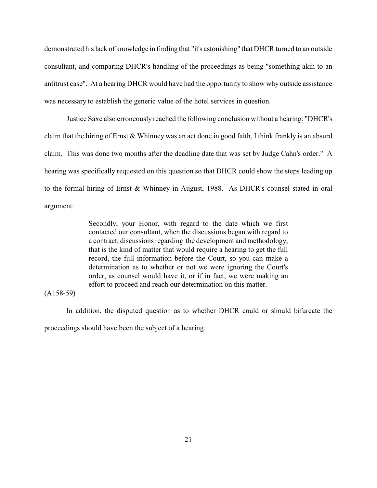demonstrated his lack of knowledge in finding that "it's astonishing" that DHCR turned to an outside consultant, and comparing DHCR's handling of the proceedings as being "something akin to an antitrust case". At a hearing DHCR would have had the opportunity to show why outside assistance was necessary to establish the generic value of the hotel services in question.

Justice Saxe also erroneously reached the following conclusion without a hearing: "DHCR's claim that the hiring of Ernst & Whinney was an act done in good faith, I think frankly is an absurd claim. This was done two months after the deadline date that was set by Judge Cahn's order." A hearing was specifically requested on this question so that DHCR could show the steps leading up to the formal hiring of Ernst & Whinney in August, 1988. As DHCR's counsel stated in oral argument:

> Secondly, your Honor, with regard to the date which we first contacted our consultant, when the discussions began with regard to a contract, discussions regarding the development and methodology, that is the kind of matter that would require a hearing to get the full record, the full information before the Court, so you can make a determination as to whether or not we were ignoring the Court's order, as counsel would have it, or if in fact, we were making an effort to proceed and reach our determination on this matter.

### (A158-59)

In addition, the disputed question as to whether DHCR could or should bifurcate the proceedings should have been the subject of a hearing.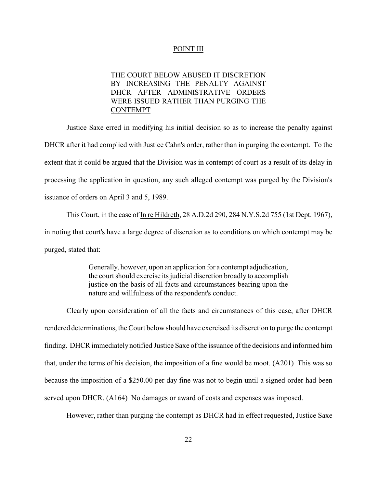#### POINT III

## THE COURT BELOW ABUSED IT DISCRETION BY INCREASING THE PENALTY AGAINST DHCR AFTER ADMINISTRATIVE ORDERS WERE ISSUED RATHER THAN PURGING THE CONTEMPT

Justice Saxe erred in modifying his initial decision so as to increase the penalty against DHCR after it had complied with Justice Cahn's order, rather than in purging the contempt. To the extent that it could be argued that the Division was in contempt of court as a result of its delay in processing the application in question, any such alleged contempt was purged by the Division's issuance of orders on April 3 and 5, 1989.

This Court, in the case of In re Hildreth, 28 A.D.2d 290, 284 N.Y.S.2d 755 (1st Dept. 1967), in noting that court's have a large degree of discretion as to conditions on which contempt may be purged, stated that:

> Generally, however, upon an application for a contempt adjudication, the court should exercise its judicial discretion broadly to accomplish justice on the basis of all facts and circumstances bearing upon the nature and willfulness of the respondent's conduct.

Clearly upon consideration of all the facts and circumstances of this case, after DHCR rendered determinations, the Court below should have exercised its discretion to purge the contempt finding. DHCR immediately notified Justice Saxe of the issuance of the decisions and informed him that, under the terms of his decision, the imposition of a fine would be moot. (A201) This was so because the imposition of a \$250.00 per day fine was not to begin until a signed order had been served upon DHCR. (A164) No damages or award of costs and expenses was imposed.

However, rather than purging the contempt as DHCR had in effect requested, Justice Saxe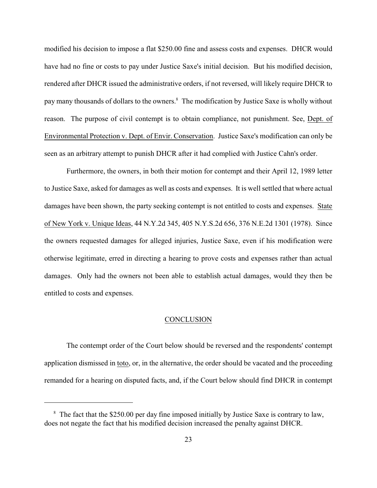modified his decision to impose a flat \$250.00 fine and assess costs and expenses. DHCR would have had no fine or costs to pay under Justice Saxe's initial decision. But his modified decision, rendered after DHCR issued the administrative orders, if not reversed, will likely require DHCR to pay many thousands of dollars to the owners.<sup>8</sup> The modification by Justice Saxe is wholly without reason. The purpose of civil contempt is to obtain compliance, not punishment. See, Dept. of Environmental Protection v. Dept. of Envir. Conservation. Justice Saxe's modification can only be seen as an arbitrary attempt to punish DHCR after it had complied with Justice Cahn's order.

Furthermore, the owners, in both their motion for contempt and their April 12, 1989 letter to Justice Saxe, asked for damages as well as costs and expenses. It is well settled that where actual damages have been shown, the party seeking contempt is not entitled to costs and expenses. State of New York v. Unique Ideas, 44 N.Y.2d 345, 405 N.Y.S.2d 656, 376 N.E.2d 1301 (1978). Since the owners requested damages for alleged injuries, Justice Saxe, even if his modification were otherwise legitimate, erred in directing a hearing to prove costs and expenses rather than actual damages. Only had the owners not been able to establish actual damages, would they then be entitled to costs and expenses.

## **CONCLUSION**

The contempt order of the Court below should be reversed and the respondents' contempt application dismissed in toto, or, in the alternative, the order should be vacated and the proceeding remanded for a hearing on disputed facts, and, if the Court below should find DHCR in contempt

 $8\,$  The fact that the \$250.00 per day fine imposed initially by Justice Saxe is contrary to law, does not negate the fact that his modified decision increased the penalty against DHCR.